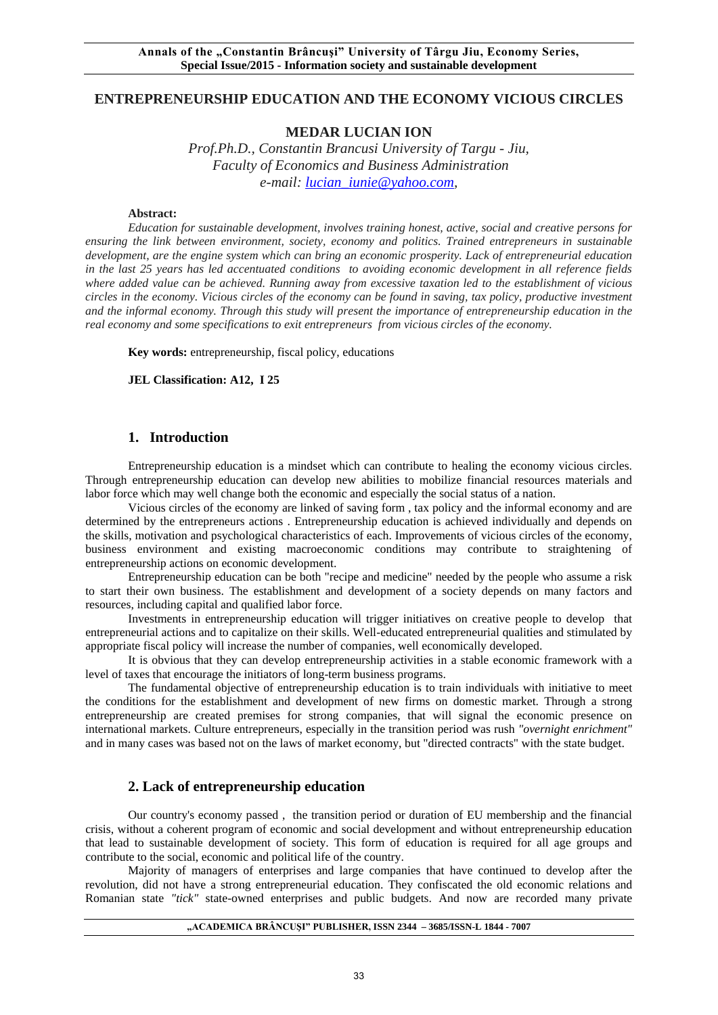# **ENTREPRENEURSHIP EDUCATION AND THE ECONOMY VICIOUS CIRCLES**

# **MEDAR LUCIAN ION**

*Prof.Ph.D., Constantin Brancusi University of Targu - Jiu, Faculty of Economics and Business Administration e-mail: [lucian\\_iunie@yahoo.com,](mailto:lucian_iunie@yahoo.com)* 

#### **Abstract:**

*Education for sustainable development, involves training honest, active, social and creative persons for ensuring the link between environment, society, economy and politics. Trained entrepreneurs in sustainable development, are the engine system which can bring an economic prosperity. Lack of entrepreneurial education in the last 25 years has led accentuated conditions to avoiding economic development in all reference fields where added value can be achieved. Running away from excessive taxation led to the establishment of vicious circles in the economy. Vicious circles of the economy can be found in saving, tax policy, productive investment and the informal economy. Through this study will present the importance of entrepreneurship education in the real economy and some specifications to exit entrepreneurs from vicious circles of the economy.*

**Key words:** entrepreneurship, fiscal policy, educations

**JEL Classification: A12, I 25**

### **1. Introduction**

Entrepreneurship education is a mindset which can contribute to healing the economy vicious circles. Through entrepreneurship education can develop new abilities to mobilize financial resources materials and labor force which may well change both the economic and especially the social status of a nation.

Vicious circles of the economy are linked of saving form , tax policy and the informal economy and are determined by the entrepreneurs actions . Entrepreneurship education is achieved individually and depends on the skills, motivation and psychological characteristics of each. Improvements of vicious circles of the economy, business environment and existing macroeconomic conditions may contribute to straightening of entrepreneurship actions on economic development.

Entrepreneurship education can be both "recipe and medicine" needed by the people who assume a risk to start their own business. The establishment and development of a society depends on many factors and resources, including capital and qualified labor force.

Investments in entrepreneurship education will trigger initiatives on creative people to develop that entrepreneurial actions and to capitalize on their skills. Well-educated entrepreneurial qualities and stimulated by appropriate fiscal policy will increase the number of companies, well economically developed.

It is obvious that they can develop entrepreneurship activities in a stable economic framework with a level of taxes that encourage the initiators of long-term business programs.

The fundamental objective of entrepreneurship education is to train individuals with initiative to meet the conditions for the establishment and development of new firms on domestic market. Through a strong entrepreneurship are created premises for strong companies, that will signal the economic presence on international markets. Culture entrepreneurs, especially in the transition period was rush *"overnight enrichment"* and in many cases was based not on the laws of market economy, but "directed contracts" with the state budget.

### **2. Lack of entrepreneurship education**

Our country's economy passed , the transition period or duration of EU membership and the financial crisis, without a coherent program of economic and social development and without entrepreneurship education that lead to sustainable development of society. This form of education is required for all age groups and contribute to the social, economic and political life of the country.

Majority of managers of enterprises and large companies that have continued to develop after the revolution, did not have a strong entrepreneurial education. They confiscated the old economic relations and Romanian state *"tick"* state-owned enterprises and public budgets. And now are recorded many private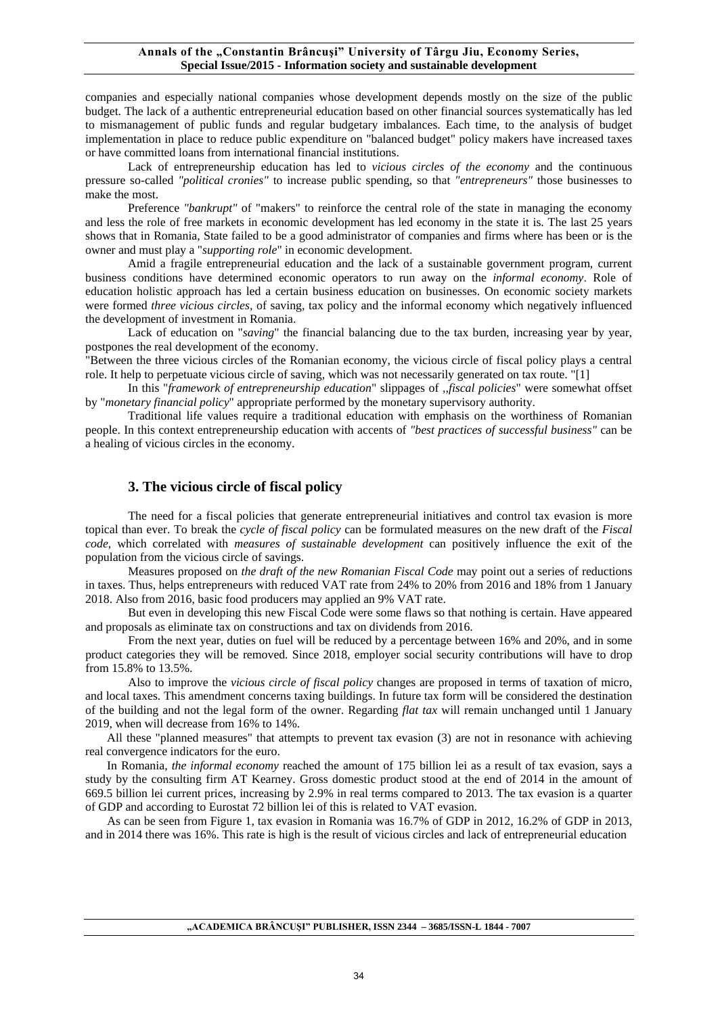#### Annals of the "Constantin Brâncuși" University of Târgu Jiu, Economy Series, **Special Issue/2015 - Information society and sustainable development**

companies and especially national companies whose development depends mostly on the size of the public budget. The lack of a authentic entrepreneurial education based on other financial sources systematically has led to mismanagement of public funds and regular budgetary imbalances. Each time, to the analysis of budget implementation in place to reduce public expenditure on "balanced budget" policy makers have increased taxes or have committed loans from international financial institutions.

Lack of entrepreneurship education has led to *vicious circles of the economy* and the continuous pressure so-called *"political cronies"* to increase public spending, so that *"entrepreneurs"* those businesses to make the most.

Preference *"bankrupt"* of "makers" to reinforce the central role of the state in managing the economy and less the role of free markets in economic development has led economy in the state it is. The last 25 years shows that in Romania, State failed to be a good administrator of companies and firms where has been or is the owner and must play a "*supporting role*" in economic development.

Amid a fragile entrepreneurial education and the lack of a sustainable government program, current business conditions have determined economic operators to run away on the *informal economy*. Role of education holistic approach has led a certain business education on businesses. On economic society markets were formed *three vicious circles,* of saving, tax policy and the informal economy which negatively influenced the development of investment in Romania.

Lack of education on "*saving*" the financial balancing due to the tax burden, increasing year by year, postpones the real development of the economy.

"Between the three vicious circles of the Romanian economy, the vicious circle of fiscal policy plays a central role. It help to perpetuate vicious circle of saving, which was not necessarily generated on tax route. "[1]

 In this "*framework of entrepreneurship education*" slippages of *,,fiscal policies*" were somewhat offset by "*monetary financial policy*" appropriate performed by the monetary supervisory authority.

Traditional life values require a traditional education with emphasis on the worthiness of Romanian people. In this context entrepreneurship education with accents of *"best practices of successful business"* can be a healing of vicious circles in the economy.

### **3. The vicious circle of fiscal policy**

The need for a fiscal policies that generate entrepreneurial initiatives and control tax evasion is more topical than ever. To break the *cycle of fiscal policy* can be formulated measures on the new draft of the *Fiscal code*, which correlated with *measures of sustainable development* can positively influence the exit of the population from the vicious circle of savings.

Measures proposed on *the draft of the new Romanian Fiscal Code* may point out a series of reductions in taxes. Thus, helps entrepreneurs with reduced VAT rate from 24% to 20% from 2016 and 18% from 1 January 2018. Also from 2016, basic food producers may applied an 9% VAT rate.

But even in developing this new Fiscal Code were some flaws so that nothing is certain. Have appeared and proposals as eliminate tax on constructions and tax on dividends from 2016.

From the next year, duties on fuel will be reduced by a percentage between 16% and 20%, and in some product categories they will be removed. Since 2018, employer social security contributions will have to drop from 15.8% to 13.5%.

Also to improve the *vicious circle of fiscal policy* changes are proposed in terms of taxation of micro, and local taxes. This amendment concerns taxing buildings. In future tax form will be considered the destination of the building and not the legal form of the owner. Regarding *flat tax* will remain unchanged until 1 January 2019, when will decrease from 16% to 14%.

All these "planned measures" that attempts to prevent tax evasion (3) are not in resonance with achieving real convergence indicators for the euro.

In Romania, *the informal economy* reached the amount of 175 billion lei as a result of tax evasion, says a study by the consulting firm AT Kearney. Gross domestic product stood at the end of 2014 in the amount of 669.5 billion lei current prices, increasing by 2.9% in real terms compared to 2013. The tax evasion is a quarter of GDP and according to Eurostat 72 billion lei of this is related to VAT evasion.

As can be seen from Figure 1, tax evasion in Romania was 16.7% of GDP in 2012, 16.2% of GDP in 2013, and in 2014 there was 16%. This rate is high is the result of vicious circles and lack of entrepreneurial education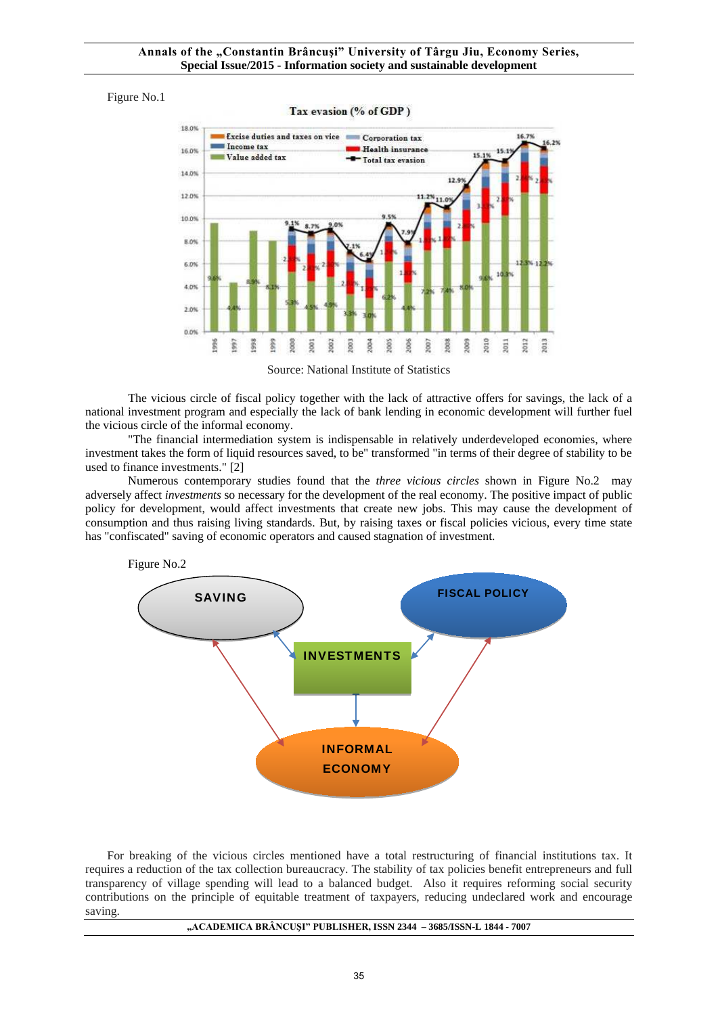#### Figure No.1



Source: National Institute of Statistics

The vicious circle of fiscal policy together with the lack of attractive offers for savings, the lack of a national investment program and especially the lack of bank lending in economic development will further fuel the vicious circle of the informal economy.

"The financial intermediation system is indispensable in relatively underdeveloped economies, where investment takes the form of liquid resources saved, to be" transformed "in terms of their degree of stability to be used to finance investments." [2]

Numerous contemporary studies found that the *three vicious circles* shown in Figure No.2 may adversely affect *investments* so necessary for the development of the real economy. The positive impact of public policy for development, would affect investments that create new jobs. This may cause the development of consumption and thus raising living standards. But, by raising taxes or fiscal policies vicious, every time state has "confiscated" saving of economic operators and caused stagnation of investment.



For breaking of the vicious circles mentioned have a total restructuring of financial institutions tax. It requires a reduction of the tax collection bureaucracy. The stability of tax policies benefit entrepreneurs and full transparency of village spending will lead to a balanced budget. Also it requires reforming social security contributions on the principle of equitable treatment of taxpayers, reducing undeclared work and encourage saving.

#### **"ACADEMICA BRÂNCUŞI" PUBLISHER, ISSN 2344 – 3685/ISSN-L 1844 - 7007**